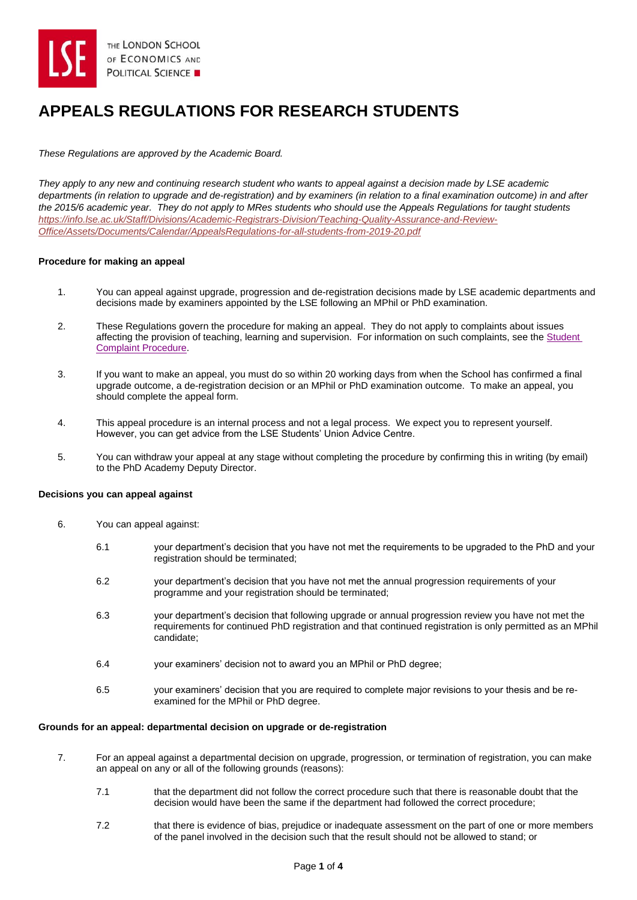

# **APPEALS REGULATIONS FOR RESEARCH STUDENTS**

*These Regulations are approved by the Academic Board.*

*They apply to any new and continuing research student who wants to appeal against a decision made by LSE academic departments (in relation to upgrade and de-registration) and by examiners (in relation to a final examination outcome) in and after the 2015/6 academic year. They do not apply to MRes students who should use the Appeals Regulations for taught students [https://info.lse.ac.uk/Staff/Divisions/Academic-Registrars-Division/Teaching-Quality-Assurance-and-Review-](https://info.lse.ac.uk/Staff/Divisions/Academic-Registrars-Division/Teaching-Quality-Assurance-and-Review-Office/Assets/Documents/Calendar/AppealsRegulations-for-all-students-from-2019-20.pdf)[Office/Assets/Documents/Calendar/AppealsRegulations-for-all-students-from-2019-20.pdf](https://info.lse.ac.uk/Staff/Divisions/Academic-Registrars-Division/Teaching-Quality-Assurance-and-Review-Office/Assets/Documents/Calendar/AppealsRegulations-for-all-students-from-2019-20.pdf)*

## **Procedure for making an appeal**

- 1. You can appeal against upgrade, progression and de-registration decisions made by LSE academic departments and decisions made by examiners appointed by the LSE following an MPhil or PhD examination.
- 2. These Regulations govern the procedure for making an appeal. They do not apply to complaints about issues affecting the provision of teaching, learning and supervision. For information on such complaints, see the [Student](https://info.lse.ac.uk/staff/services/Policies-and-procedures/Assets/Documents/comPro.pdf)  Complaint [Procedure.](https://info.lse.ac.uk/staff/services/Policies-and-procedures/Assets/Documents/comPro.pdf)
- 3. If you want to make an appeal, you must do so within 20 working days from when the School has confirmed a final upgrade outcome, a de-registration decision or an MPhil or PhD examination outcome. To make an appeal, you should complete the appeal form.
- 4. This appeal procedure is an internal process and not a legal process. We expect you to represent yourself. However, you can get advice from the LSE Students' Union Advice Centre.
- 5. You can withdraw your appeal at any stage without completing the procedure by confirming this in writing (by email) to the PhD Academy Deputy Director.

## **Decisions you can appeal against**

- 6. You can appeal against:
	- 6.1 your department's decision that you have not met the requirements to be upgraded to the PhD and your registration should be terminated;
	- 6.2 your department's decision that you have not met the annual progression requirements of your programme and your registration should be terminated;
	- 6.3 your department's decision that following upgrade or annual progression review you have not met the requirements for continued PhD registration and that continued registration is only permitted as an MPhil candidate;
	- 6.4 your examiners' decision not to award you an MPhil or PhD degree;
	- 6.5 your examiners' decision that you are required to complete major revisions to your thesis and be reexamined for the MPhil or PhD degree.

## **Grounds for an appeal: departmental decision on upgrade or de-registration**

- 7. For an appeal against a departmental decision on upgrade, progression, or termination of registration, you can make an appeal on any or all of the following grounds (reasons):
	- 7.1 that the department did not follow the correct procedure such that there is reasonable doubt that the decision would have been the same if the department had followed the correct procedure;
	- 7.2 that there is evidence of bias, prejudice or inadequate assessment on the part of one or more members of the panel involved in the decision such that the result should not be allowed to stand; or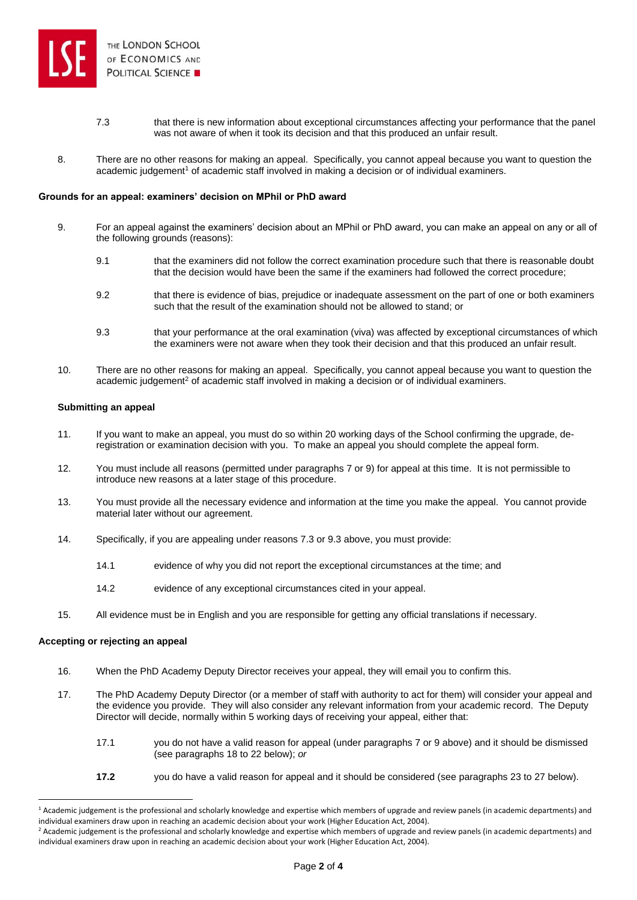

- 7.3 that there is new information about exceptional circumstances affecting your performance that the panel was not aware of when it took its decision and that this produced an unfair result.
- 8. There are no other reasons for making an appeal. Specifically, you cannot appeal because you want to question the academic judgement<sup>1</sup> of academic staff involved in making a decision or of individual examiners.

#### **Grounds for an appeal: examiners' decision on MPhil or PhD award**

- 9. For an appeal against the examiners' decision about an MPhil or PhD award, you can make an appeal on any or all of the following grounds (reasons):
	- 9.1 that the examiners did not follow the correct examination procedure such that there is reasonable doubt that the decision would have been the same if the examiners had followed the correct procedure;
	- 9.2 that there is evidence of bias, prejudice or inadequate assessment on the part of one or both examiners such that the result of the examination should not be allowed to stand; or
	- 9.3 that your performance at the oral examination (viva) was affected by exceptional circumstances of which the examiners were not aware when they took their decision and that this produced an unfair result.
- 10. There are no other reasons for making an appeal. Specifically, you cannot appeal because you want to question the academic judgement<sup>2</sup> of academic staff involved in making a decision or of individual examiners.

#### **Submitting an appeal**

- 11. If you want to make an appeal, you must do so within 20 working days of the School confirming the upgrade, deregistration or examination decision with you. To make an appeal you should complete the appeal form.
- 12. You must include all reasons (permitted under paragraphs 7 or 9) for appeal at this time. It is not permissible to introduce new reasons at a later stage of this procedure.
- 13. You must provide all the necessary evidence and information at the time you make the appeal. You cannot provide material later without our agreement.
- 14. Specifically, if you are appealing under reasons 7.3 or 9.3 above, you must provide:
	- 14.1 evidence of why you did not report the exceptional circumstances at the time; and
	- 14.2 evidence of any exceptional circumstances cited in your appeal.
- 15. All evidence must be in English and you are responsible for getting any official translations if necessary.

## **Accepting or rejecting an appeal**

- 16. When the PhD Academy Deputy Director receives your appeal, they will email you to confirm this.
- 17. The PhD Academy Deputy Director (or a member of staff with authority to act for them) will consider your appeal and the evidence you provide. They will also consider any relevant information from your academic record. The Deputy Director will decide, normally within 5 working days of receiving your appeal, either that:
	- 17.1 you do not have a valid reason for appeal (under paragraphs 7 or 9 above) and it should be dismissed (see paragraphs 18 to 22 below); *or*
	- **17.2** you do have a valid reason for appeal and it should be considered (see paragraphs 23 to 27 below).

<sup>&</sup>lt;sup>1</sup> Academic judgement is the professional and scholarly knowledge and expertise which members of upgrade and review panels (in academic departments) and individual examiners draw upon in reaching an academic decision about your work (Higher Education Act, 2004).

<sup>&</sup>lt;sup>2</sup> Academic judgement is the professional and scholarly knowledge and expertise which members of upgrade and review panels (in academic departments) and individual examiners draw upon in reaching an academic decision about your work (Higher Education Act, 2004).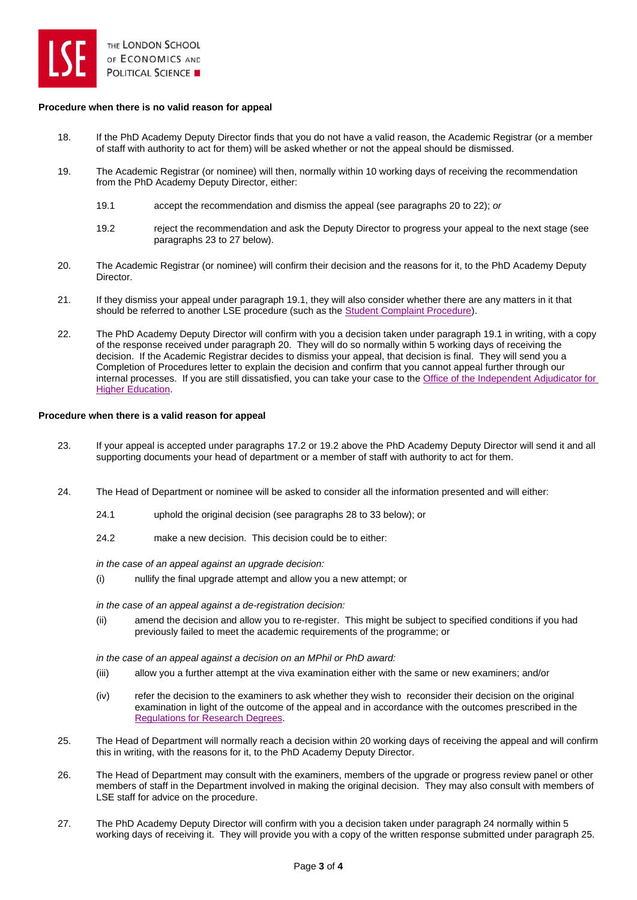

## **Procedure when there is no valid reason for appeal**

- 18. If the PhD Academy Deputy Director finds that you do not have a valid reason, the Academic Registrar (or a member of staff with authority to act for them) will be asked whether or not the appeal should be dismissed.
- 19. The Academic Registrar (or nominee) will then, normally within 10 working days of receiving the recommendation from the PhD Academy Deputy Director, either:
	- 19.1 accept the recommendation and dismiss the appeal (see paragraphs 20 to 22); *or*
	- 19.2 reject the recommendation and ask the Deputy Director to progress your appeal to the next stage (see paragraphs 23 to 27 below).
- 20. The Academic Registrar (or nominee) will confirm their decision and the reasons for it, to the PhD Academy Deputy Director.
- 21. If they dismiss your appeal under paragraph 19.1, they will also consider whether there are any matters in it that should be referred to another LSE procedure (such as th[e Student Complaint Procedure\)](https://info.lse.ac.uk/staff/services/Policies-and-procedures/Assets/Documents/comPro.pdf).
- 22. The PhD Academy Deputy Director will confirm with you a decision taken under paragraph 19.1 in writing, with a copy of the response received under paragraph 20. They will do so normally within 5 working days of receiving the decision. If the Academic Registrar decides to dismiss your appeal, that decision is final. They will send you a Completion of Procedures letter to explain the decision and confirm that you cannot appeal further through our internal processes. If you are still dissatisfied, you can take your case to th[e Office of the Independent Adjudicator for](http://www.oiahe.org.uk/)  [Higher Education.](http://www.oiahe.org.uk/)

## **Procedure when there is a valid reason for appeal**

- 23. If your appeal is accepted under paragraphs 17.2 or 19.2 above the PhD Academy Deputy Director will send it and all supporting documents your head of department or a member of staff with authority to act for them.
- 24. The Head of Department or nominee will be asked to consider all the information presented and will either:
	- 24.1 uphold the original decision (see paragraphs 28 to 33 below); or
	- 24.2 make a new decision. This decision could be to either:

*in the case of an appeal against an upgrade decision:*

(i) nullify the final upgrade attempt and allow you a new attempt; or

*in the case of an appeal against a de-registration decision:*

(ii) amend the decision and allow you to re-register. This might be subject to specified conditions if you had previously failed to meet the academic requirements of the programme; or

*in the case of an appeal against a decision on an MPhil or PhD award:*

- (iii) allow you a further attempt at the viva examination either with the same or new examiners; and/or
- (iv) refer the decision to the examiners to ask whether they wish to reconsider their decision on the original examination in light of the outcome of the appeal and in accordance with the outcomes prescribed in the [Regulations for Research Degrees.](https://info.lse.ac.uk/Staff/Divisions/Academic-Registrars-Division/Teaching-Quality-Assurance-and-Review-Office/Assets/Documents/Calendar/RegulationsForResearchDegrees.pdf)
- 25. The Head of Department will normally reach a decision within 20 working days of receiving the appeal and will confirm this in writing, with the reasons for it, to the PhD Academy Deputy Director.
- 26. The Head of Department may consult with the examiners, members of the upgrade or progress review panel or other members of staff in the Department involved in making the original decision. They may also consult with members of LSE staff for advice on the procedure.
- 27. The PhD Academy Deputy Director will confirm with you a decision taken under paragraph 24 normally within 5 working days of receiving it. They will provide you with a copy of the written response submitted under paragraph 25.